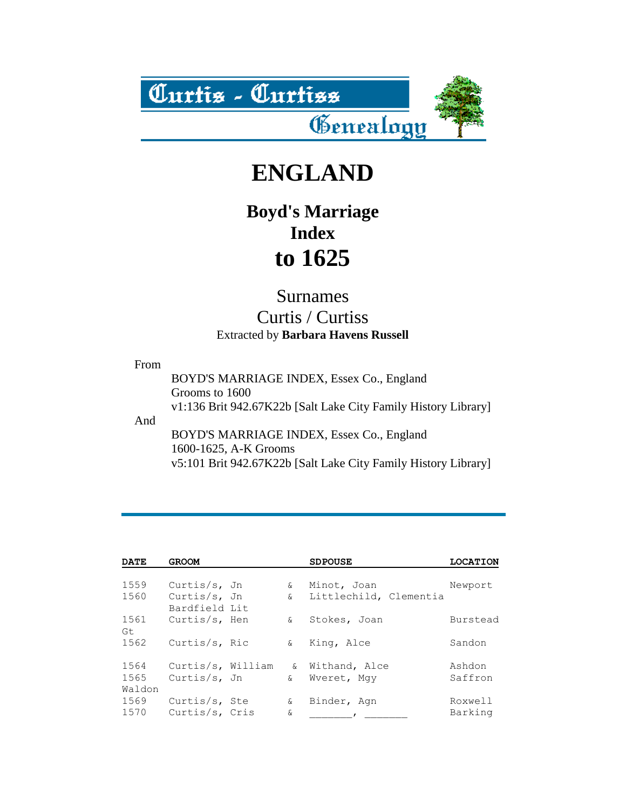

# **ENGLAND**

## **Boyd's Marriage Index to 1625**

#### Surnames

### Curtis / Curtiss Extracted by **Barbara Havens Russell**

#### From

BOYD'S MARRIAGE INDEX, Essex Co., England Grooms to 1600 v1:136 Brit 942.67K22b [Salt Lake City Family History Library] And BOYD'S MARRIAGE INDEX, Essex Co., England 1600-1625, A-K Grooms v5:101 Brit 942.67K22b [Salt Lake City Family History Library]

| <b>DATE</b>            | <b>GROOM</b>                      |                | <b>SDPOUSE</b>                 | <b>LOCATION</b>    |
|------------------------|-----------------------------------|----------------|--------------------------------|--------------------|
| 1559                   | Curtis/s, Jn                      | &.             | Minot, Joan                    | Newport            |
| 1560                   | Curtis/s, Jn<br>Bardfield Lit     |                | & Littlechild, Clementia       |                    |
| 1561<br>Gt             | Curtis/s, Hen                     | ଙ              | Stokes, Joan                   | Burstead           |
| 1562                   | Curtis/s, Ric                     | &.             | King, Alce                     | Sandon             |
| 1564<br>1565<br>Waldon | Curtis/s, William<br>Curtis/s, Jn | ଙ              | Withand, Alce<br>& Wyeret, Mqy | Ashdon<br>Saffron  |
| 1569<br>1570           | Curtis/s, Ste<br>Curtis/s, Cris   | $\delta$<br>&. | Binder, Aqn                    | Roxwell<br>Barking |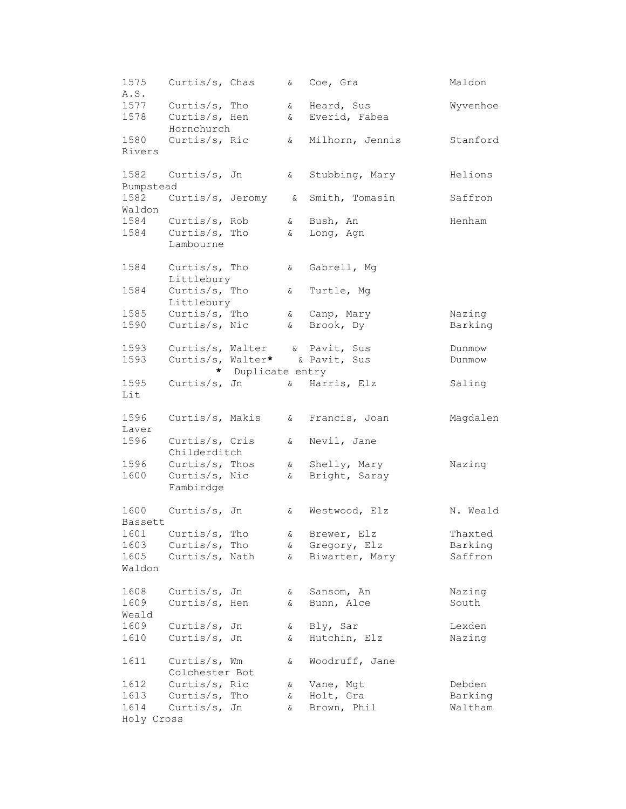1575 Curtis/s, Chas & Coe, Gra Maldon A.S. 1577 Curtis/s, Tho 6 Heard, Sus 8 Wyvenhoe 1578 Curtis/s, Hen & Everid, Fabea Hornchurch<br>Curtis/s, Ric 1580 Curtis/s, Ric & Milhorn, Jennis Stanford Rivers 1582 Curtis/s, Jn & Stubbing, Mary Helions Bumpstead 1582 Curtis/s, Jeromy & Smith, Tomasin Saffron Waldon 1584 Curtis/s, Rob & Bush, An Menham 1584 Curtis/s, Tho & Long, Agn Lambourne 1584 Curtis/s, Tho & Gabrell, Mg Littlebury 1584 Curtis/s, Tho & Turtle, Mg Littlebury 1585 Curtis/s, Tho & Canp, Mary Nazing 1590 Curtis/s, Nic 6 Brook, Dy Barking 1593 Curtis/s, Walter & Pavit, Sus Dunmow 1593 Curtis/s, Walter**\*** & Pavit, Sus Dunmow **\*** Duplicate entry 1595 Curtis/s, Jn & Harris, Elz Saling Lit 1596 Curtis/s, Makis & Francis, Joan Magdalen Laver 1596 Curtis/s, Cris & Nevil, Jane Childerditch 1596 Curtis/s, Thos & Shelly, Mary Nazing 1600 Curtis/s, Nic 6 Bright, Saray Fambirdge 1600 Curtis/s, Jn & Westwood, Elz N. Weald Bassett 1601 Curtis/s, Tho 6 Brewer, Elz Thaxted 1603 Curtis/s, Tho & Gregory, Elz Barking 1605 Curtis/s, Nath & Biwarter, Mary Saffron Waldon 1608 Curtis/s, Jn & Sansom, An Mazing 1609 Curtis/s, Hen & Bunn, Alce South Weald 1609 Curtis/s, Jn & Bly, Sar Lexden 1610 Curtis/s, Jn & Hutchin, Elz Nazing 1611 Curtis/s, Wm & Woodruff, Jane Colchester Bot 1612 Curtis/s, Ric & Vane, Mgt Debden 1613 Curtis/s, Tho & Holt, Gra Barking 1614 Curtis/s, Jn & Brown, Phil Waltham Holy Cross